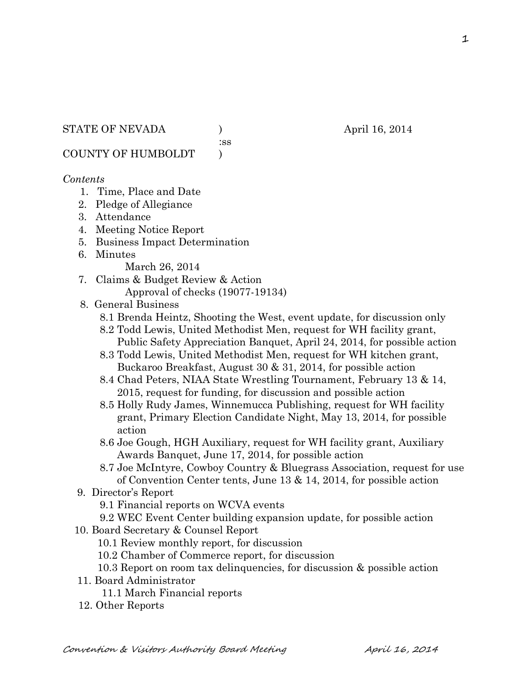#### STATE OF NEVADA (a) (b) april 16, 2014

:ss

COUNTY OF HUMBOLDT )

#### *Contents*

- 1. Time, Place and Date
- 2. Pledge of Allegiance
- 3. Attendance
- 4. Meeting Notice Report
- 5. Business Impact Determination
- 6. Minutes

March 26, 2014

- 7. Claims & Budget Review & Action Approval of checks (19077-19134)
- 8. General Business
	- 8.1 Brenda Heintz, Shooting the West, event update, for discussion only
	- 8.2 Todd Lewis, United Methodist Men, request for WH facility grant, Public Safety Appreciation Banquet, April 24, 2014, for possible action
	- 8.3 Todd Lewis, United Methodist Men, request for WH kitchen grant, Buckaroo Breakfast, August 30 & 31, 2014, for possible action
	- 8.4 Chad Peters, NIAA State Wrestling Tournament, February 13 & 14, 2015, request for funding, for discussion and possible action
	- 8.5 Holly Rudy James, Winnemucca Publishing, request for WH facility grant, Primary Election Candidate Night, May 13, 2014, for possible action
	- 8.6 Joe Gough, HGH Auxiliary, request for WH facility grant, Auxiliary Awards Banquet, June 17, 2014, for possible action
	- 8.7 Joe McIntyre, Cowboy Country & Bluegrass Association, request for use of Convention Center tents, June 13 & 14, 2014, for possible action
- 9. Director's Report
	- 9.1 Financial reports on WCVA events
	- 9.2 WEC Event Center building expansion update, for possible action
- 10. Board Secretary & Counsel Report
	- 10.1 Review monthly report, for discussion
	- 10.2 Chamber of Commerce report, for discussion
	- 10.3 Report on room tax delinquencies, for discussion & possible action
- 11. Board Administrator
	- 11.1 March Financial reports
- 12. Other Reports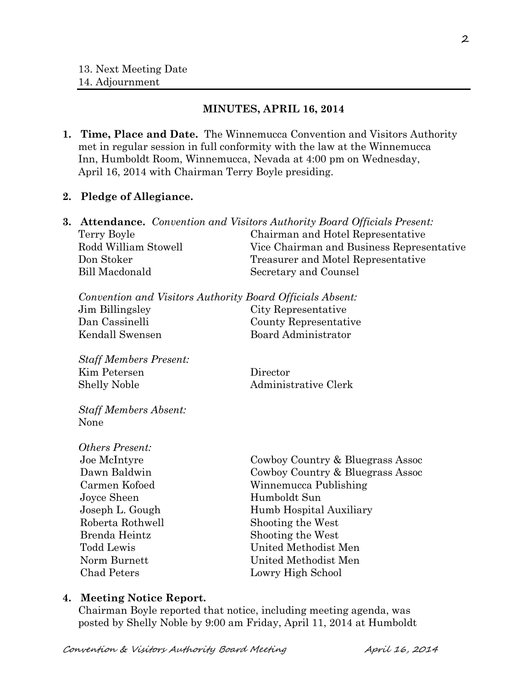#### **MINUTES, APRIL 16, 2014**

**1. Time, Place and Date.** The Winnemucca Convention and Visitors Authority met in regular session in full conformity with the law at the Winnemucca Inn, Humboldt Room, Winnemucca, Nevada at 4:00 pm on Wednesday, April 16, 2014 with Chairman Terry Boyle presiding.

#### **2. Pledge of Allegiance.**

|  |                                                           | <b>3. Attendance.</b> Convention and Visitors Authority Board Officials Present: |  |
|--|-----------------------------------------------------------|----------------------------------------------------------------------------------|--|
|  | Terry Boyle                                               | Chairman and Hotel Representative                                                |  |
|  | Rodd William Stowell                                      | Vice Chairman and Business Representative                                        |  |
|  | Don Stoker                                                | Treasurer and Motel Representative                                               |  |
|  | <b>Bill Macdonald</b>                                     | Secretary and Counsel                                                            |  |
|  | Convention and Visitors Authority Board Officials Absent: |                                                                                  |  |
|  | Jim Billingsley                                           | City Representative                                                              |  |
|  | Dan Cassinelli                                            | County Representative                                                            |  |
|  | Kendall Swensen                                           | <b>Board Administrator</b>                                                       |  |
|  | <b>Staff Members Present:</b>                             |                                                                                  |  |
|  | Kim Petersen                                              | Director                                                                         |  |
|  | <b>Shelly Noble</b>                                       | Administrative Clerk                                                             |  |
|  | <b>Staff Members Absent:</b>                              |                                                                                  |  |
|  | None                                                      |                                                                                  |  |
|  | Others Present:                                           |                                                                                  |  |
|  | Joe McIntyre                                              | Cowboy Country & Bluegrass Assoc                                                 |  |
|  | Dawn Baldwin                                              | Cowboy Country & Bluegrass Assoc                                                 |  |
|  | Carmen Kofoed                                             | Winnemucca Publishing                                                            |  |
|  | Joyce Sheen                                               | Humboldt Sun                                                                     |  |
|  | Joseph L. Gough                                           | Humb Hospital Auxiliary                                                          |  |
|  | Roberta Rothwell                                          | Shooting the West                                                                |  |
|  | Brenda Heintz                                             | Shooting the West                                                                |  |
|  | <b>Todd Lewis</b>                                         | United Methodist Men                                                             |  |
|  | Norm Burnett                                              | United Methodist Men                                                             |  |
|  | <b>Chad Peters</b>                                        | Lowry High School                                                                |  |
|  |                                                           |                                                                                  |  |

#### **4. Meeting Notice Report.**

Chairman Boyle reported that notice, including meeting agenda, was posted by Shelly Noble by 9:00 am Friday, April 11, 2014 at Humboldt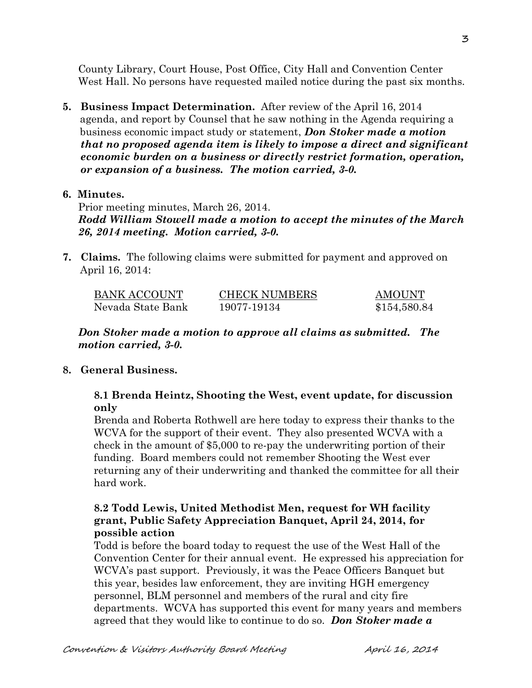County Library, Court House, Post Office, City Hall and Convention Center West Hall. No persons have requested mailed notice during the past six months.

**5. Business Impact Determination.** After review of the April 16, 2014 agenda, and report by Counsel that he saw nothing in the Agenda requiring a business economic impact study or statement, *Don Stoker made a motion that no proposed agenda item is likely to impose a direct and significant economic burden on a business or directly restrict formation, operation, or expansion of a business. The motion carried, 3-0.* 

### **6. Minutes.**

Prior meeting minutes, March 26, 2014. *Rodd William Stowell made a motion to accept the minutes of the March 26, 2014 meeting. Motion carried, 3-0.*

**7. Claims.** The following claims were submitted for payment and approved on April 16, 2014:

| BANK ACCOUNT      | <b>CHECK NUMBERS</b> | <b>AMOUNT</b> |
|-------------------|----------------------|---------------|
| Nevada State Bank | 19077-19134          | \$154,580.84  |

*Don Stoker made a motion to approve all claims as submitted. The motion carried, 3-0.*

### **8. General Business.**

### **8.1 Brenda Heintz, Shooting the West, event update, for discussion only**

Brenda and Roberta Rothwell are here today to express their thanks to the WCVA for the support of their event. They also presented WCVA with a check in the amount of \$5,000 to re-pay the underwriting portion of their funding. Board members could not remember Shooting the West ever returning any of their underwriting and thanked the committee for all their hard work.

# **8.2 Todd Lewis, United Methodist Men, request for WH facility grant, Public Safety Appreciation Banquet, April 24, 2014, for possible action**

Todd is before the board today to request the use of the West Hall of the Convention Center for their annual event. He expressed his appreciation for WCVA's past support. Previously, it was the Peace Officers Banquet but this year, besides law enforcement, they are inviting HGH emergency personnel, BLM personnel and members of the rural and city fire departments. WCVA has supported this event for many years and members agreed that they would like to continue to do so. *Don Stoker made a*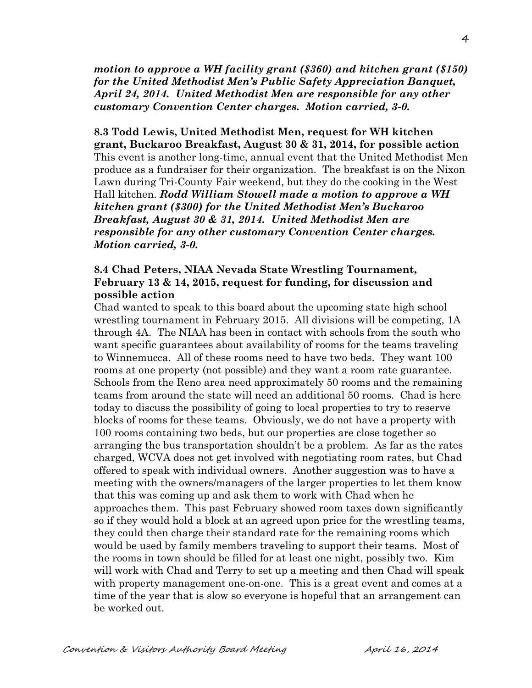*motion to approve a WH facility grant (\$360) and kitchen grant (\$150) for the United Methodist Men's Public Safety Appreciation Banquet, April 24, 2014. United Methodist Men are responsible for any other customary Convention Center charges. Motion carried, 3-0.*

**8.3 Todd Lewis, United Methodist Men, request for WH kitchen grant, Buckaroo Breakfast, August 30 & 31, 2014, for possible action**  This event is another long-time, annual event that the United Methodist Men produce as a fundraiser for their organization. The breakfast is on the Nixon Lawn during Tri-County Fair weekend, but they do the cooking in the West Hall kitchen. *Rodd William Stowell made a motion to approve a WH kitchen grant (\$300) for the United Methodist Men's Buckaroo Breakfast, August 30 & 31, 2014. United Methodist Men are responsible for any other customary Convention Center charges. Motion carried, 3-0.* 

### **8.4 Chad Peters, NIAA Nevada State Wrestling Tournament, February 13 & 14, 2015, request for funding, for discussion and possible action**

Chad wanted to speak to this board about the upcoming state high school wrestling tournament in February 2015. All divisions will be competing, 1A through 4A. The NIAA has been in contact with schools from the south who want specific guarantees about availability of rooms for the teams traveling to Winnemucca. All of these rooms need to have two beds. They want 100 rooms at one property (not possible) and they want a room rate guarantee. Schools from the Reno area need approximately 50 rooms and the remaining teams from around the state will need an additional 50 rooms. Chad is here today to discuss the possibility of going to local properties to try to reserve blocks of rooms for these teams. Obviously, we do not have a property with 100 rooms containing two beds, but our properties are close together so arranging the bus transportation shouldn't be a problem. As far as the rates charged, WCVA does not get involved with negotiating room rates, but Chad offered to speak with individual owners. Another suggestion was to have a meeting with the owners/managers of the larger properties to let them know that this was coming up and ask them to work with Chad when he approaches them. This past February showed room taxes down significantly so if they would hold a block at an agreed upon price for the wrestling teams, they could then charge their standard rate for the remaining rooms which would be used by family members traveling to support their teams. Most of the rooms in town should be filled for at least one night, possibly two. Kim will work with Chad and Terry to set up a meeting and then Chad will speak with property management one-on-one. This is a great event and comes at a time of the year that is slow so everyone is hopeful that an arrangement can be worked out.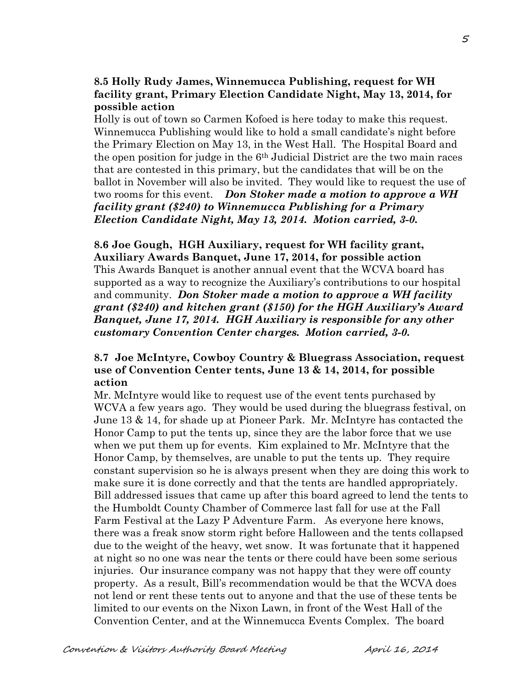# **8.5 Holly Rudy James, Winnemucca Publishing, request for WH facility grant, Primary Election Candidate Night, May 13, 2014, for possible action**

Holly is out of town so Carmen Kofoed is here today to make this request. Winnemucca Publishing would like to hold a small candidate's night before the Primary Election on May 13, in the West Hall. The Hospital Board and the open position for judge in the 6th Judicial District are the two main races that are contested in this primary, but the candidates that will be on the ballot in November will also be invited. They would like to request the use of two rooms for this event. *Don Stoker made a motion to approve a WH facility grant (\$240) to Winnemucca Publishing for a Primary Election Candidate Night, May 13, 2014. Motion carried, 3-0.*

# **8.6 Joe Gough, HGH Auxiliary, request for WH facility grant, Auxiliary Awards Banquet, June 17, 2014, for possible action**

This Awards Banquet is another annual event that the WCVA board has supported as a way to recognize the Auxiliary's contributions to our hospital and community. *Don Stoker made a motion to approve a WH facility grant (\$240) and kitchen grant (\$150) for the HGH Auxiliary's Award Banquet, June 17, 2014. HGH Auxiliary is responsible for any other customary Convention Center charges. Motion carried, 3-0.* 

# **8.7 Joe McIntyre, Cowboy Country & Bluegrass Association, request use of Convention Center tents, June 13 & 14, 2014, for possible action**

Mr. McIntyre would like to request use of the event tents purchased by WCVA a few years ago. They would be used during the bluegrass festival, on June 13 & 14, for shade up at Pioneer Park. Mr. McIntyre has contacted the Honor Camp to put the tents up, since they are the labor force that we use when we put them up for events. Kim explained to Mr. McIntyre that the Honor Camp, by themselves, are unable to put the tents up. They require constant supervision so he is always present when they are doing this work to make sure it is done correctly and that the tents are handled appropriately. Bill addressed issues that came up after this board agreed to lend the tents to the Humboldt County Chamber of Commerce last fall for use at the Fall Farm Festival at the Lazy P Adventure Farm. As everyone here knows, there was a freak snow storm right before Halloween and the tents collapsed due to the weight of the heavy, wet snow. It was fortunate that it happened at night so no one was near the tents or there could have been some serious injuries. Our insurance company was not happy that they were off county property. As a result, Bill's recommendation would be that the WCVA does not lend or rent these tents out to anyone and that the use of these tents be limited to our events on the Nixon Lawn, in front of the West Hall of the Convention Center, and at the Winnemucca Events Complex. The board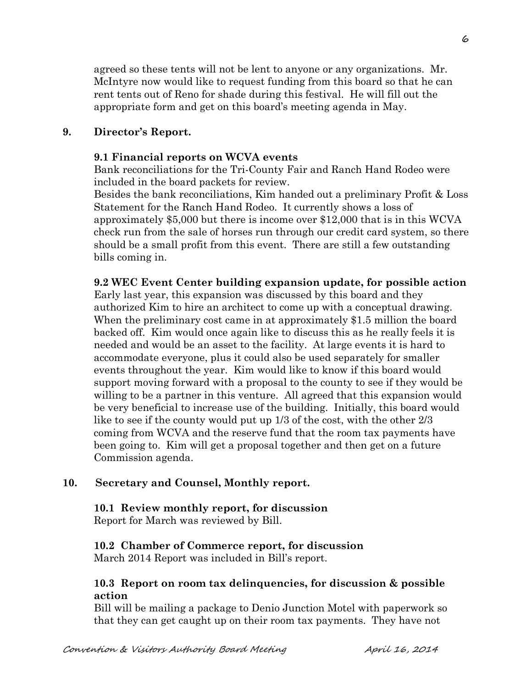agreed so these tents will not be lent to anyone or any organizations. Mr. McIntyre now would like to request funding from this board so that he can rent tents out of Reno for shade during this festival. He will fill out the appropriate form and get on this board's meeting agenda in May.

### **9. Director's Report.**

#### **9.1 Financial reports on WCVA events**

Bank reconciliations for the Tri-County Fair and Ranch Hand Rodeo were included in the board packets for review.

Besides the bank reconciliations, Kim handed out a preliminary Profit & Loss Statement for the Ranch Hand Rodeo. It currently shows a loss of approximately \$5,000 but there is income over \$12,000 that is in this WCVA check run from the sale of horses run through our credit card system, so there should be a small profit from this event. There are still a few outstanding bills coming in.

#### **9.2 WEC Event Center building expansion update, for possible action**

Early last year, this expansion was discussed by this board and they authorized Kim to hire an architect to come up with a conceptual drawing. When the preliminary cost came in at approximately \$1.5 million the board backed off. Kim would once again like to discuss this as he really feels it is needed and would be an asset to the facility. At large events it is hard to accommodate everyone, plus it could also be used separately for smaller events throughout the year. Kim would like to know if this board would support moving forward with a proposal to the county to see if they would be willing to be a partner in this venture. All agreed that this expansion would be very beneficial to increase use of the building. Initially, this board would like to see if the county would put up 1/3 of the cost, with the other 2/3 coming from WCVA and the reserve fund that the room tax payments have been going to. Kim will get a proposal together and then get on a future Commission agenda.

### **10. Secretary and Counsel, Monthly report.**

#### **10.1 Review monthly report, for discussion** Report for March was reviewed by Bill.

#### **10.2 Chamber of Commerce report, for discussion**

March 2014 Report was included in Bill's report.

### **10.3 Report on room tax delinquencies, for discussion & possible action**

Bill will be mailing a package to Denio Junction Motel with paperwork so that they can get caught up on their room tax payments. They have not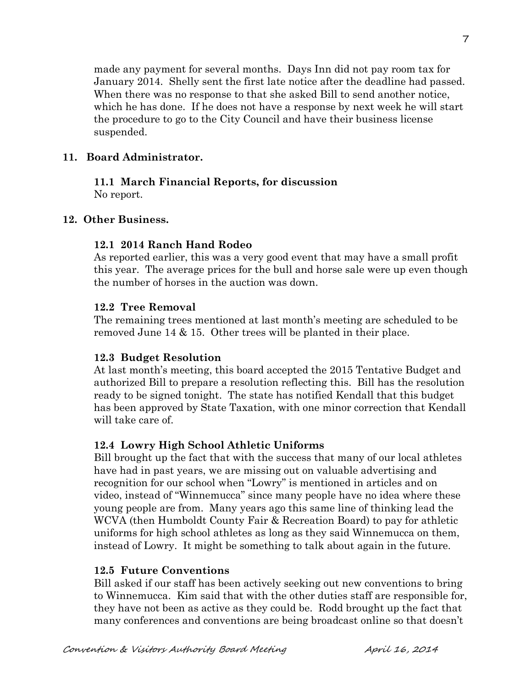made any payment for several months. Days Inn did not pay room tax for January 2014. Shelly sent the first late notice after the deadline had passed. When there was no response to that she asked Bill to send another notice, which he has done. If he does not have a response by next week he will start the procedure to go to the City Council and have their business license suspended.

# **11. Board Administrator.**

### **11.1 March Financial Reports, for discussion** No report.

# **12. Other Business.**

# **12.1 2014 Ranch Hand Rodeo**

As reported earlier, this was a very good event that may have a small profit this year. The average prices for the bull and horse sale were up even though the number of horses in the auction was down.

### **12.2 Tree Removal**

The remaining trees mentioned at last month's meeting are scheduled to be removed June 14 & 15. Other trees will be planted in their place.

### **12.3 Budget Resolution**

At last month's meeting, this board accepted the 2015 Tentative Budget and authorized Bill to prepare a resolution reflecting this. Bill has the resolution ready to be signed tonight. The state has notified Kendall that this budget has been approved by State Taxation, with one minor correction that Kendall will take care of.

# **12.4 Lowry High School Athletic Uniforms**

Bill brought up the fact that with the success that many of our local athletes have had in past years, we are missing out on valuable advertising and recognition for our school when "Lowry" is mentioned in articles and on video, instead of "Winnemucca" since many people have no idea where these young people are from. Many years ago this same line of thinking lead the WCVA (then Humboldt County Fair & Recreation Board) to pay for athletic uniforms for high school athletes as long as they said Winnemucca on them, instead of Lowry. It might be something to talk about again in the future.

### **12.5 Future Conventions**

Bill asked if our staff has been actively seeking out new conventions to bring to Winnemucca. Kim said that with the other duties staff are responsible for, they have not been as active as they could be. Rodd brought up the fact that many conferences and conventions are being broadcast online so that doesn't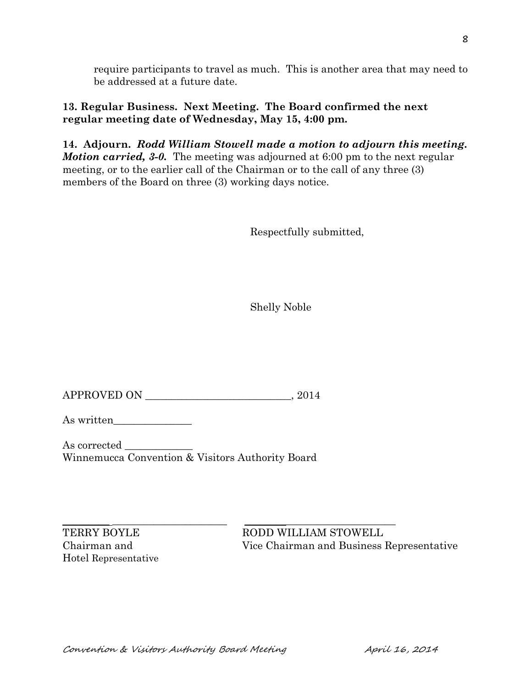require participants to travel as much. This is another area that may need to be addressed at a future date.

# **13. Regular Business. Next Meeting. The Board confirmed the next regular meeting date of Wednesday, May 15, 4:00 pm.**

**14. Adjourn.** *Rodd William Stowell made a motion to adjourn this meeting. Motion carried,* 3-0. The meeting was adjourned at 6:00 pm to the next regular meeting, or to the earlier call of the Chairman or to the call of any three (3) members of the Board on three (3) working days notice.

Respectfully submitted,

Shelly Noble

APPROVED ON \_\_\_\_\_\_\_\_\_\_\_\_\_\_\_\_\_\_\_\_\_\_\_\_\_\_\_\_, 2014

As written\_\_\_\_\_\_\_\_\_\_\_\_\_\_\_

As corrected  $\_\_$ Winnemucca Convention & Visitors Authority Board

Hotel Representative

 $\_$  , and the set of the set of the set of the set of the set of the set of the set of the set of the set of the set of the set of the set of the set of the set of the set of the set of the set of the set of the set of th TERRY BOYLE RODD WILLIAM STOWELL Chairman and Vice Chairman and Business Representative